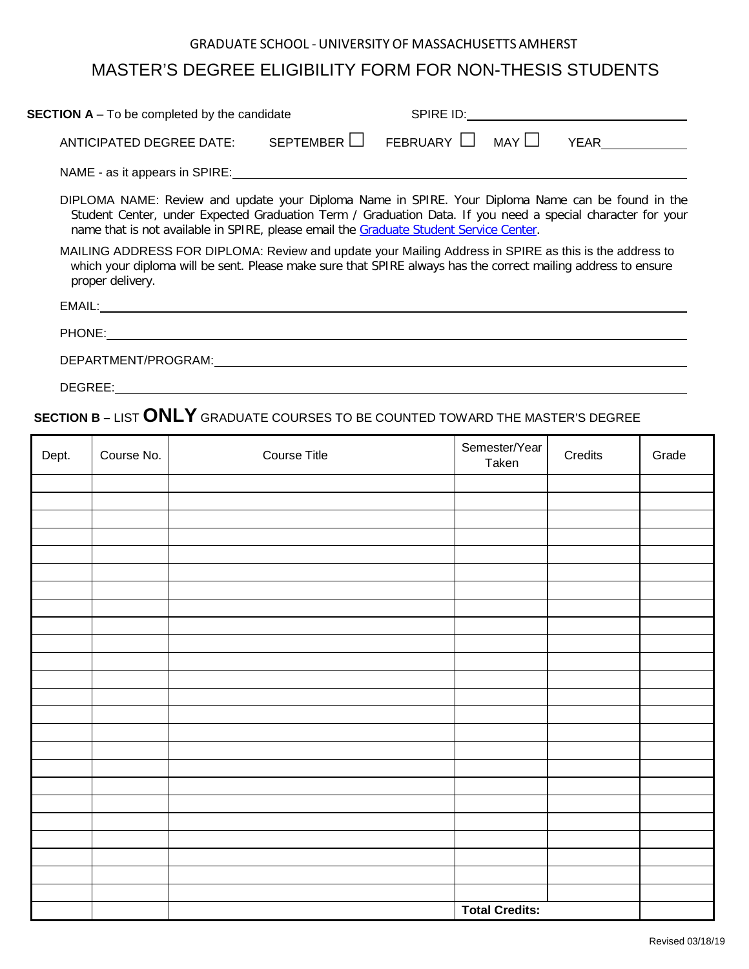## GRADUATE SCHOOL -UNIVERSITY OF MASSACHUSETTS AMHERST

## MASTER'S DEGREE ELIGIBILITY FORM FOR NON-THESIS STUDENTS

| <b>SECTION A</b> - To be completed by the candidate                                                                                                                                                                                                                                                       |           | SPIRE ID:          |  |      |  |
|-----------------------------------------------------------------------------------------------------------------------------------------------------------------------------------------------------------------------------------------------------------------------------------------------------------|-----------|--------------------|--|------|--|
| ANTICIPATED DEGREE DATE:                                                                                                                                                                                                                                                                                  | SEPTEMBER | FEBRUARY I   MAY I |  | YFAR |  |
| NAME - as it appears in SPIRE:                                                                                                                                                                                                                                                                            |           |                    |  |      |  |
| DIPLOMA NAME: Review and update your Diploma Name in SPIRE. Your Diploma Name can be found in the<br>Student Center, under Expected Graduation Term / Graduation Data. If you need a special character for your<br>name that is not available in SPIRE, please email the Graduate Student Service Center. |           |                    |  |      |  |
| MAILING ADDRESS FOR DIPLOMA: Review and update your Mailing Address in SPIRE as this is the address to                                                                                                                                                                                                    |           |                    |  |      |  |

which your diploma will be sent. Please make sure that SPIRE always has the correct mailing address to ensure proper delivery.

| FMAIL.<br>----  |  |  |  |
|-----------------|--|--|--|
|                 |  |  |  |
| ONE<br>m.<br>◥- |  |  |  |

DEPARTMENT/PROGRAM:

DEGREE:

## **SECTION B –** LIST **ONLY** GRADUATE COURSES TO BE COUNTED TOWARD THE MASTER'S DEGREE

| Dept. | Course No. | <b>Course Title</b> | Semester/Year<br>Taken | Credits | Grade |
|-------|------------|---------------------|------------------------|---------|-------|
|       |            |                     |                        |         |       |
|       |            |                     |                        |         |       |
|       |            |                     |                        |         |       |
|       |            |                     |                        |         |       |
|       |            |                     |                        |         |       |
|       |            |                     |                        |         |       |
|       |            |                     |                        |         |       |
|       |            |                     |                        |         |       |
|       |            |                     |                        |         |       |
|       |            |                     |                        |         |       |
|       |            |                     |                        |         |       |
|       |            |                     |                        |         |       |
|       |            |                     |                        |         |       |
|       |            |                     |                        |         |       |
|       |            |                     |                        |         |       |
|       |            |                     |                        |         |       |
|       |            |                     |                        |         |       |
|       |            |                     |                        |         |       |
|       |            |                     |                        |         |       |
|       |            |                     |                        |         |       |
|       |            |                     |                        |         |       |
|       |            |                     |                        |         |       |
|       |            |                     |                        |         |       |
|       |            |                     | <b>Total Credits:</b>  |         |       |